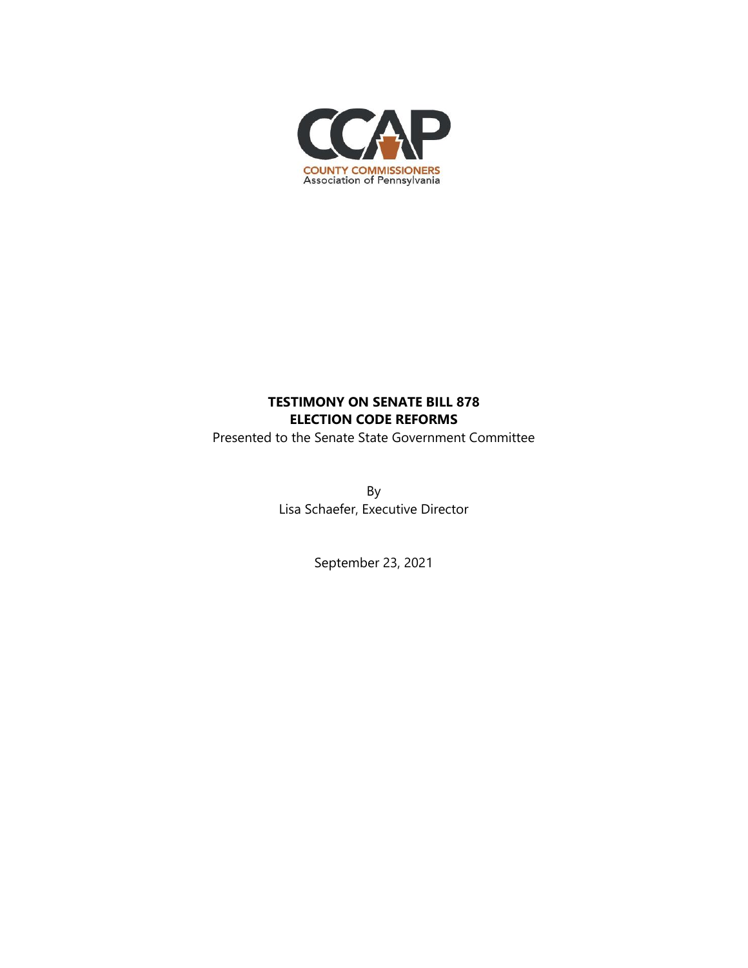

# **TESTIMONY ON SENATE BILL 878 ELECTION CODE REFORMS**

Presented to the Senate State Government Committee

By Lisa Schaefer, Executive Director

September 23, 2021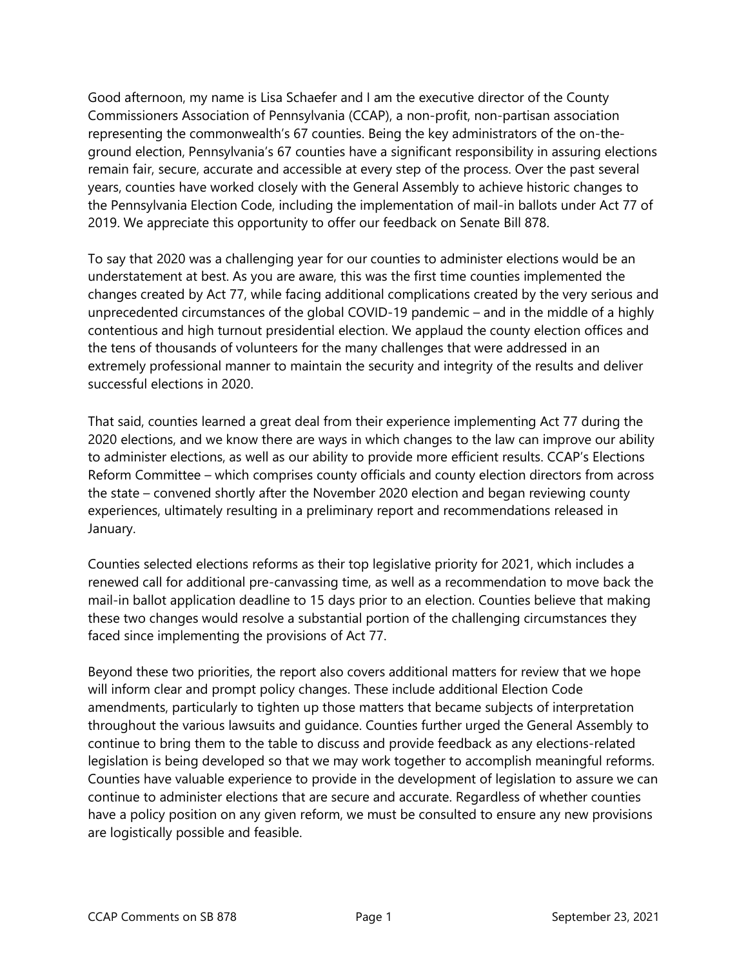Good afternoon, my name is Lisa Schaefer and I am the executive director of the County Commissioners Association of Pennsylvania (CCAP), a non-profit, non-partisan association representing the commonwealth's 67 counties. Being the key administrators of the on-theground election, Pennsylvania's 67 counties have a significant responsibility in assuring elections remain fair, secure, accurate and accessible at every step of the process. Over the past several years, counties have worked closely with the General Assembly to achieve historic changes to the Pennsylvania Election Code, including the implementation of mail-in ballots under Act 77 of 2019. We appreciate this opportunity to offer our feedback on Senate Bill 878.

To say that 2020 was a challenging year for our counties to administer elections would be an understatement at best. As you are aware, this was the first time counties implemented the changes created by Act 77, while facing additional complications created by the very serious and unprecedented circumstances of the global COVID-19 pandemic – and in the middle of a highly contentious and high turnout presidential election. We applaud the county election offices and the tens of thousands of volunteers for the many challenges that were addressed in an extremely professional manner to maintain the security and integrity of the results and deliver successful elections in 2020.

That said, counties learned a great deal from their experience implementing Act 77 during the 2020 elections, and we know there are ways in which changes to the law can improve our ability to administer elections, as well as our ability to provide more efficient results. CCAP's Elections Reform Committee – which comprises county officials and county election directors from across the state – convened shortly after the November 2020 election and began reviewing county experiences, ultimately resulting in a preliminary report and recommendations released in January.

Counties selected elections reforms as their top legislative priority for 2021, which includes a renewed call for additional pre-canvassing time, as well as a recommendation to move back the mail-in ballot application deadline to 15 days prior to an election. Counties believe that making these two changes would resolve a substantial portion of the challenging circumstances they faced since implementing the provisions of Act 77.

Beyond these two priorities, the report also covers additional matters for review that we hope will inform clear and prompt policy changes. These include additional Election Code amendments, particularly to tighten up those matters that became subjects of interpretation throughout the various lawsuits and guidance. Counties further urged the General Assembly to continue to bring them to the table to discuss and provide feedback as any elections-related legislation is being developed so that we may work together to accomplish meaningful reforms. Counties have valuable experience to provide in the development of legislation to assure we can continue to administer elections that are secure and accurate. Regardless of whether counties have a policy position on any given reform, we must be consulted to ensure any new provisions are logistically possible and feasible.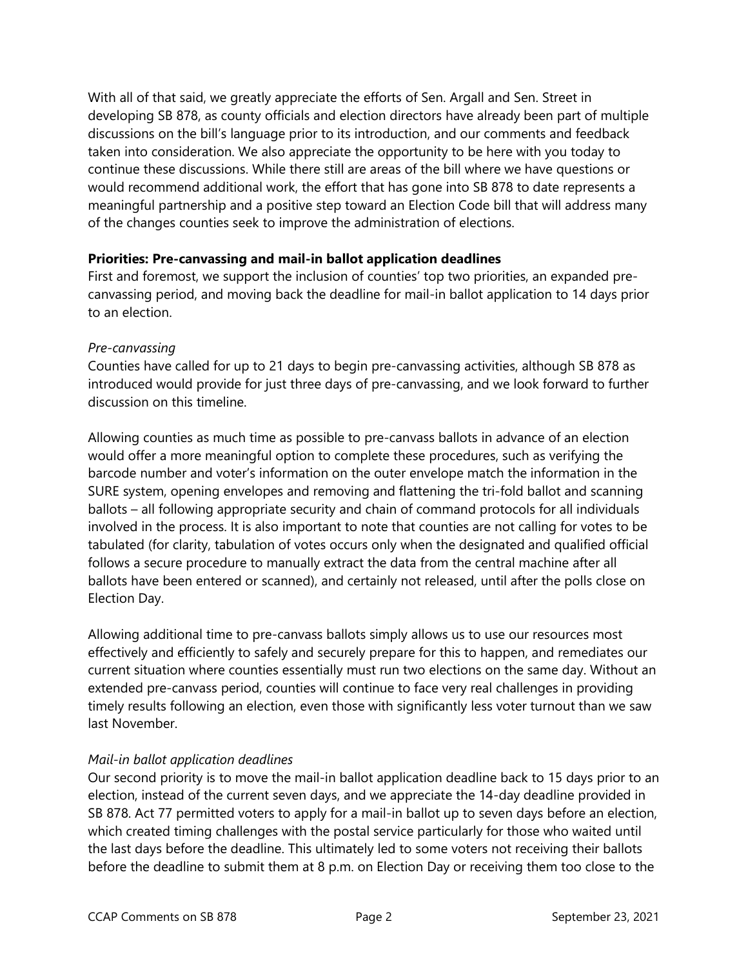With all of that said, we greatly appreciate the efforts of Sen. Argall and Sen. Street in developing SB 878, as county officials and election directors have already been part of multiple discussions on the bill's language prior to its introduction, and our comments and feedback taken into consideration. We also appreciate the opportunity to be here with you today to continue these discussions. While there still are areas of the bill where we have questions or would recommend additional work, the effort that has gone into SB 878 to date represents a meaningful partnership and a positive step toward an Election Code bill that will address many of the changes counties seek to improve the administration of elections.

#### **Priorities: Pre-canvassing and mail-in ballot application deadlines**

First and foremost, we support the inclusion of counties' top two priorities, an expanded precanvassing period, and moving back the deadline for mail-in ballot application to 14 days prior to an election.

### *Pre-canvassing*

Counties have called for up to 21 days to begin pre-canvassing activities, although SB 878 as introduced would provide for just three days of pre-canvassing, and we look forward to further discussion on this timeline.

Allowing counties as much time as possible to pre-canvass ballots in advance of an election would offer a more meaningful option to complete these procedures, such as verifying the barcode number and voter's information on the outer envelope match the information in the SURE system, opening envelopes and removing and flattening the tri-fold ballot and scanning ballots – all following appropriate security and chain of command protocols for all individuals involved in the process. It is also important to note that counties are not calling for votes to be tabulated (for clarity, tabulation of votes occurs only when the designated and qualified official follows a secure procedure to manually extract the data from the central machine after all ballots have been entered or scanned), and certainly not released, until after the polls close on Election Day.

Allowing additional time to pre-canvass ballots simply allows us to use our resources most effectively and efficiently to safely and securely prepare for this to happen, and remediates our current situation where counties essentially must run two elections on the same day. Without an extended pre-canvass period, counties will continue to face very real challenges in providing timely results following an election, even those with significantly less voter turnout than we saw last November.

## *Mail-in ballot application deadlines*

Our second priority is to move the mail-in ballot application deadline back to 15 days prior to an election, instead of the current seven days, and we appreciate the 14-day deadline provided in SB 878. Act 77 permitted voters to apply for a mail-in ballot up to seven days before an election, which created timing challenges with the postal service particularly for those who waited until the last days before the deadline. This ultimately led to some voters not receiving their ballots before the deadline to submit them at 8 p.m. on Election Day or receiving them too close to the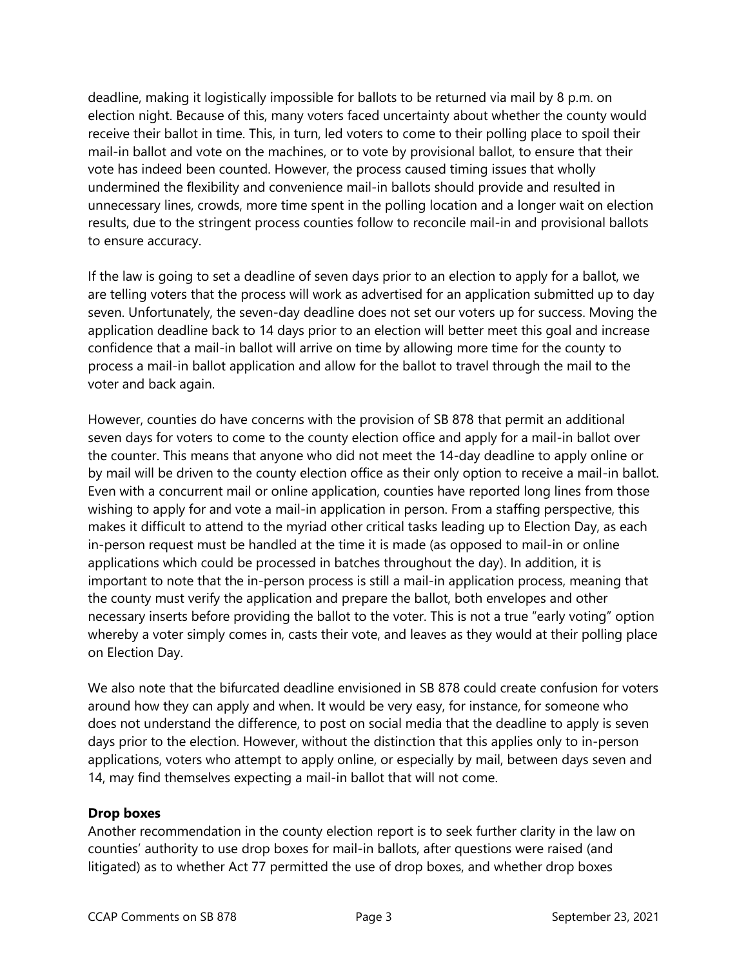deadline, making it logistically impossible for ballots to be returned via mail by 8 p.m. on election night. Because of this, many voters faced uncertainty about whether the county would receive their ballot in time. This, in turn, led voters to come to their polling place to spoil their mail-in ballot and vote on the machines, or to vote by provisional ballot, to ensure that their vote has indeed been counted. However, the process caused timing issues that wholly undermined the flexibility and convenience mail-in ballots should provide and resulted in unnecessary lines, crowds, more time spent in the polling location and a longer wait on election results, due to the stringent process counties follow to reconcile mail-in and provisional ballots to ensure accuracy.

If the law is going to set a deadline of seven days prior to an election to apply for a ballot, we are telling voters that the process will work as advertised for an application submitted up to day seven. Unfortunately, the seven-day deadline does not set our voters up for success. Moving the application deadline back to 14 days prior to an election will better meet this goal and increase confidence that a mail-in ballot will arrive on time by allowing more time for the county to process a mail-in ballot application and allow for the ballot to travel through the mail to the voter and back again.

However, counties do have concerns with the provision of SB 878 that permit an additional seven days for voters to come to the county election office and apply for a mail-in ballot over the counter. This means that anyone who did not meet the 14-day deadline to apply online or by mail will be driven to the county election office as their only option to receive a mail-in ballot. Even with a concurrent mail or online application, counties have reported long lines from those wishing to apply for and vote a mail-in application in person. From a staffing perspective, this makes it difficult to attend to the myriad other critical tasks leading up to Election Day, as each in-person request must be handled at the time it is made (as opposed to mail-in or online applications which could be processed in batches throughout the day). In addition, it is important to note that the in-person process is still a mail-in application process, meaning that the county must verify the application and prepare the ballot, both envelopes and other necessary inserts before providing the ballot to the voter. This is not a true "early voting" option whereby a voter simply comes in, casts their vote, and leaves as they would at their polling place on Election Day.

We also note that the bifurcated deadline envisioned in SB 878 could create confusion for voters around how they can apply and when. It would be very easy, for instance, for someone who does not understand the difference, to post on social media that the deadline to apply is seven days prior to the election. However, without the distinction that this applies only to in-person applications, voters who attempt to apply online, or especially by mail, between days seven and 14, may find themselves expecting a mail-in ballot that will not come.

#### **Drop boxes**

Another recommendation in the county election report is to seek further clarity in the law on counties' authority to use drop boxes for mail-in ballots, after questions were raised (and litigated) as to whether Act 77 permitted the use of drop boxes, and whether drop boxes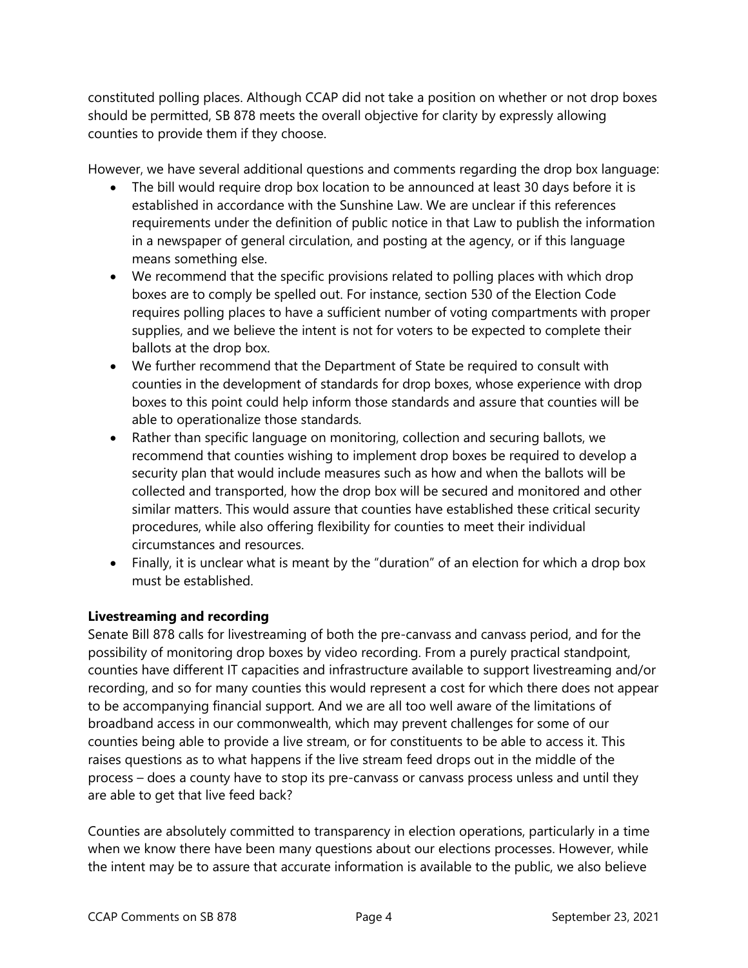constituted polling places. Although CCAP did not take a position on whether or not drop boxes should be permitted, SB 878 meets the overall objective for clarity by expressly allowing counties to provide them if they choose.

However, we have several additional questions and comments regarding the drop box language:

- The bill would require drop box location to be announced at least 30 days before it is established in accordance with the Sunshine Law. We are unclear if this references requirements under the definition of public notice in that Law to publish the information in a newspaper of general circulation, and posting at the agency, or if this language means something else.
- We recommend that the specific provisions related to polling places with which drop boxes are to comply be spelled out. For instance, section 530 of the Election Code requires polling places to have a sufficient number of voting compartments with proper supplies, and we believe the intent is not for voters to be expected to complete their ballots at the drop box.
- We further recommend that the Department of State be required to consult with counties in the development of standards for drop boxes, whose experience with drop boxes to this point could help inform those standards and assure that counties will be able to operationalize those standards.
- Rather than specific language on monitoring, collection and securing ballots, we recommend that counties wishing to implement drop boxes be required to develop a security plan that would include measures such as how and when the ballots will be collected and transported, how the drop box will be secured and monitored and other similar matters. This would assure that counties have established these critical security procedures, while also offering flexibility for counties to meet their individual circumstances and resources.
- Finally, it is unclear what is meant by the "duration" of an election for which a drop box must be established.

## **Livestreaming and recording**

Senate Bill 878 calls for livestreaming of both the pre-canvass and canvass period, and for the possibility of monitoring drop boxes by video recording. From a purely practical standpoint, counties have different IT capacities and infrastructure available to support livestreaming and/or recording, and so for many counties this would represent a cost for which there does not appear to be accompanying financial support. And we are all too well aware of the limitations of broadband access in our commonwealth, which may prevent challenges for some of our counties being able to provide a live stream, or for constituents to be able to access it. This raises questions as to what happens if the live stream feed drops out in the middle of the process – does a county have to stop its pre-canvass or canvass process unless and until they are able to get that live feed back?

Counties are absolutely committed to transparency in election operations, particularly in a time when we know there have been many questions about our elections processes. However, while the intent may be to assure that accurate information is available to the public, we also believe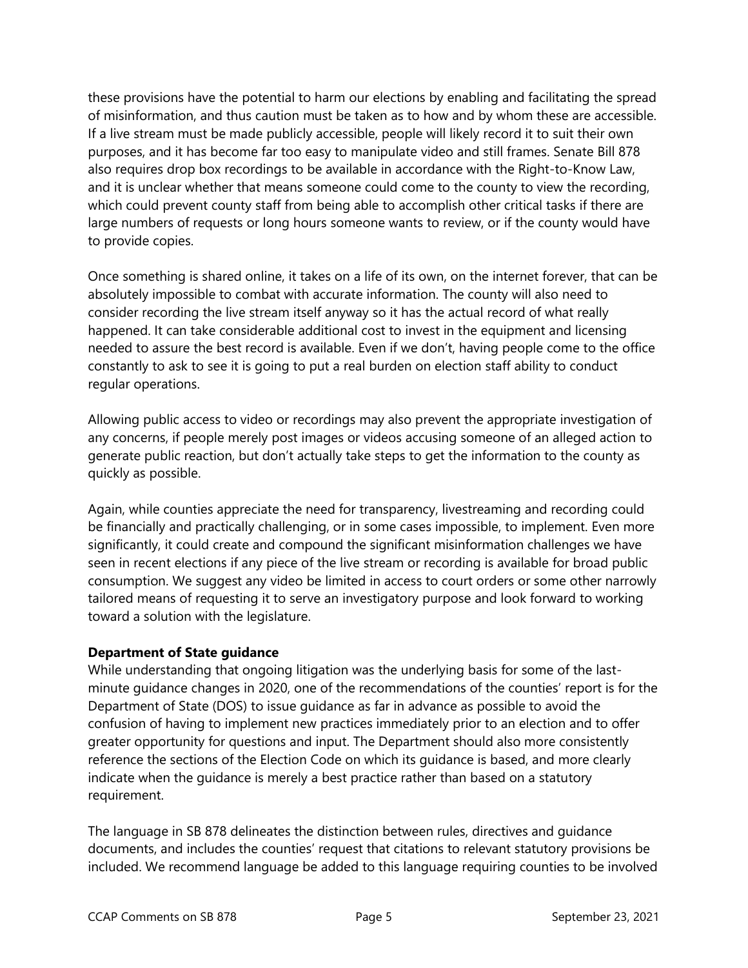these provisions have the potential to harm our elections by enabling and facilitating the spread of misinformation, and thus caution must be taken as to how and by whom these are accessible. If a live stream must be made publicly accessible, people will likely record it to suit their own purposes, and it has become far too easy to manipulate video and still frames. Senate Bill 878 also requires drop box recordings to be available in accordance with the Right-to-Know Law, and it is unclear whether that means someone could come to the county to view the recording, which could prevent county staff from being able to accomplish other critical tasks if there are large numbers of requests or long hours someone wants to review, or if the county would have to provide copies.

Once something is shared online, it takes on a life of its own, on the internet forever, that can be absolutely impossible to combat with accurate information. The county will also need to consider recording the live stream itself anyway so it has the actual record of what really happened. It can take considerable additional cost to invest in the equipment and licensing needed to assure the best record is available. Even if we don't, having people come to the office constantly to ask to see it is going to put a real burden on election staff ability to conduct regular operations.

Allowing public access to video or recordings may also prevent the appropriate investigation of any concerns, if people merely post images or videos accusing someone of an alleged action to generate public reaction, but don't actually take steps to get the information to the county as quickly as possible.

Again, while counties appreciate the need for transparency, livestreaming and recording could be financially and practically challenging, or in some cases impossible, to implement. Even more significantly, it could create and compound the significant misinformation challenges we have seen in recent elections if any piece of the live stream or recording is available for broad public consumption. We suggest any video be limited in access to court orders or some other narrowly tailored means of requesting it to serve an investigatory purpose and look forward to working toward a solution with the legislature.

#### **Department of State guidance**

While understanding that ongoing litigation was the underlying basis for some of the lastminute guidance changes in 2020, one of the recommendations of the counties' report is for the Department of State (DOS) to issue guidance as far in advance as possible to avoid the confusion of having to implement new practices immediately prior to an election and to offer greater opportunity for questions and input. The Department should also more consistently reference the sections of the Election Code on which its guidance is based, and more clearly indicate when the guidance is merely a best practice rather than based on a statutory requirement.

The language in SB 878 delineates the distinction between rules, directives and guidance documents, and includes the counties' request that citations to relevant statutory provisions be included. We recommend language be added to this language requiring counties to be involved